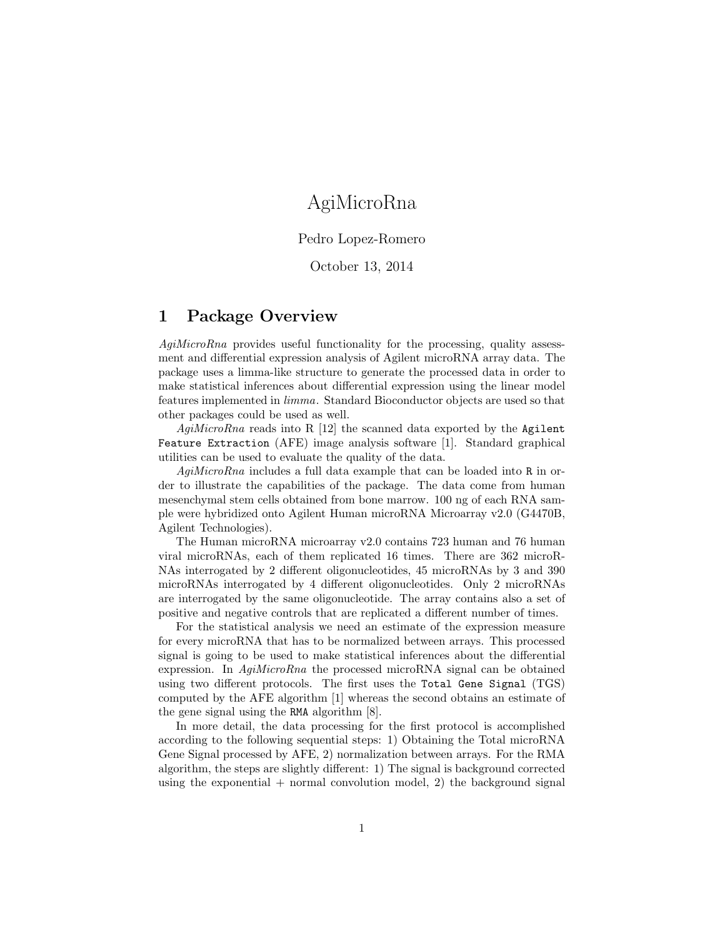# AgiMicroRna

### Pedro Lopez-Romero

### October 13, 2014

### 1 Package Overview

AgiMicroRna provides useful functionality for the processing, quality assessment and differential expression analysis of Agilent microRNA array data. The package uses a limma-like structure to generate the processed data in order to make statistical inferences about differential expression using the linear model features implemented in limma. Standard Bioconductor objects are used so that other packages could be used as well.

 $AgiMicroRna$  reads into R [12] the scanned data exported by the Agilent Feature Extraction (AFE) image analysis software [1]. Standard graphical utilities can be used to evaluate the quality of the data.

 $AqiMicroRna$  includes a full data example that can be loaded into R in order to illustrate the capabilities of the package. The data come from human mesenchymal stem cells obtained from bone marrow. 100 ng of each RNA sample were hybridized onto Agilent Human microRNA Microarray v2.0 (G4470B, Agilent Technologies).

The Human microRNA microarray v2.0 contains 723 human and 76 human viral microRNAs, each of them replicated 16 times. There are 362 microR-NAs interrogated by 2 different oligonucleotides, 45 microRNAs by 3 and 390 microRNAs interrogated by 4 different oligonucleotides. Only 2 microRNAs are interrogated by the same oligonucleotide. The array contains also a set of positive and negative controls that are replicated a different number of times.

For the statistical analysis we need an estimate of the expression measure for every microRNA that has to be normalized between arrays. This processed signal is going to be used to make statistical inferences about the differential expression. In AgiMicroRna the processed microRNA signal can be obtained using two different protocols. The first uses the Total Gene Signal (TGS) computed by the AFE algorithm [1] whereas the second obtains an estimate of the gene signal using the RMA algorithm [8].

In more detail, the data processing for the first protocol is accomplished according to the following sequential steps: 1) Obtaining the Total microRNA Gene Signal processed by AFE, 2) normalization between arrays. For the RMA algorithm, the steps are slightly different: 1) The signal is background corrected using the exponential  $+$  normal convolution model, 2) the background signal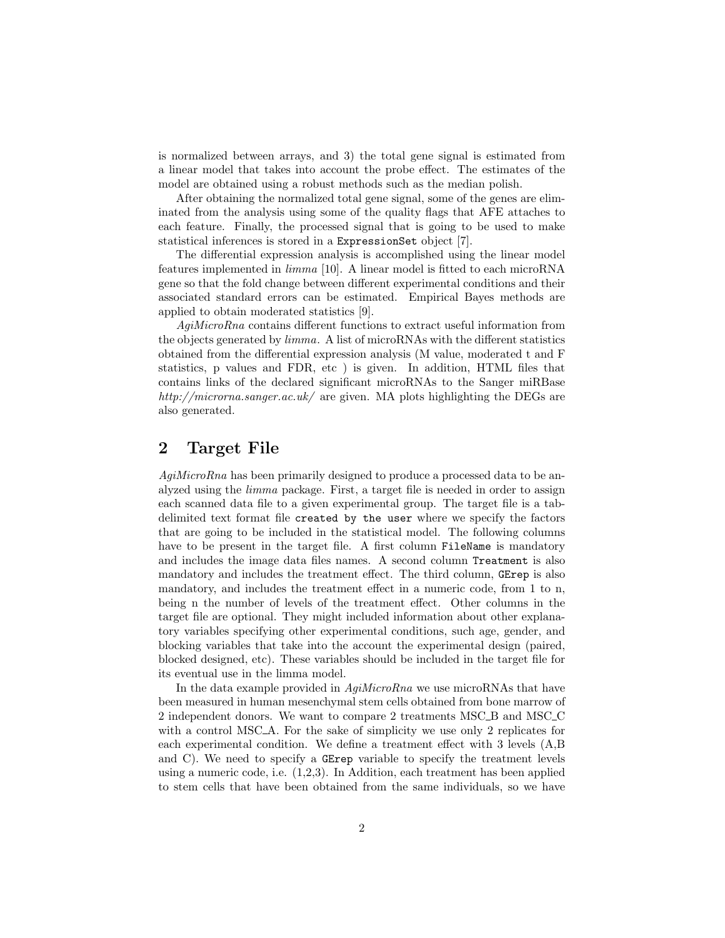is normalized between arrays, and 3) the total gene signal is estimated from a linear model that takes into account the probe effect. The estimates of the model are obtained using a robust methods such as the median polish.

After obtaining the normalized total gene signal, some of the genes are eliminated from the analysis using some of the quality flags that AFE attaches to each feature. Finally, the processed signal that is going to be used to make statistical inferences is stored in a ExpressionSet object [7].

The differential expression analysis is accomplished using the linear model features implemented in limma [10]. A linear model is fitted to each microRNA gene so that the fold change between different experimental conditions and their associated standard errors can be estimated. Empirical Bayes methods are applied to obtain moderated statistics [9].

AgiMicroRna contains different functions to extract useful information from the objects generated by limma. A list of microRNAs with the different statistics obtained from the differential expression analysis (M value, moderated t and F statistics, p values and FDR, etc ) is given. In addition, HTML files that contains links of the declared significant microRNAs to the Sanger miRBase http://microrna.sanger.ac.uk/ are given. MA plots highlighting the DEGs are also generated.

### 2 Target File

AgiMicroRna has been primarily designed to produce a processed data to be analyzed using the limma package. First, a target file is needed in order to assign each scanned data file to a given experimental group. The target file is a tabdelimited text format file created by the user where we specify the factors that are going to be included in the statistical model. The following columns have to be present in the target file. A first column FileName is mandatory and includes the image data files names. A second column Treatment is also mandatory and includes the treatment effect. The third column, GErep is also mandatory, and includes the treatment effect in a numeric code, from 1 to n, being n the number of levels of the treatment effect. Other columns in the target file are optional. They might included information about other explanatory variables specifying other experimental conditions, such age, gender, and blocking variables that take into the account the experimental design (paired, blocked designed, etc). These variables should be included in the target file for its eventual use in the limma model.

In the data example provided in AgiMicroRna we use microRNAs that have been measured in human mesenchymal stem cells obtained from bone marrow of 2 independent donors. We want to compare 2 treatments MSC B and MSC C with a control MSC<sub>-</sub>A. For the sake of simplicity we use only 2 replicates for each experimental condition. We define a treatment effect with 3 levels (A,B and C). We need to specify a GErep variable to specify the treatment levels using a numeric code, i.e. (1,2,3). In Addition, each treatment has been applied to stem cells that have been obtained from the same individuals, so we have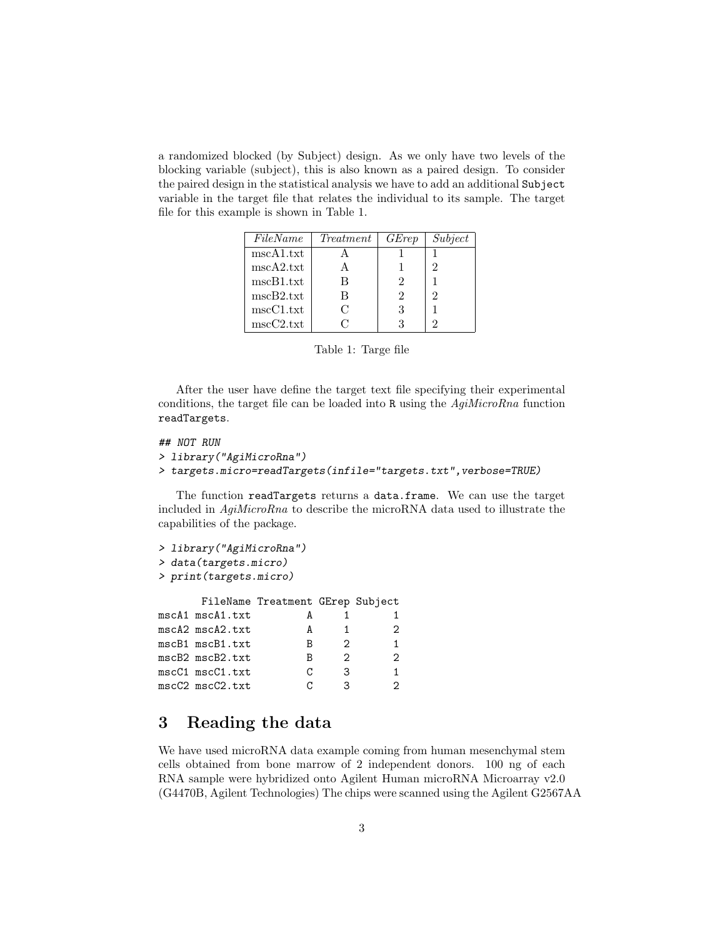a randomized blocked (by Subject) design. As we only have two levels of the blocking variable (subject), this is also known as a paired design. To consider the paired design in the statistical analysis we have to add an additional Subject variable in the target file that relates the individual to its sample. The target file for this example is shown in Table 1.

| FileName             | Treatment     | <i>GErep</i> | Subject       |
|----------------------|---------------|--------------|---------------|
| mscA1.txt            |               |              |               |
| mscA2.txt            | А             |              | $\mathcal{D}$ |
| mscB1.txt            | В             |              |               |
| mscB2.txt            | <sub>B</sub>  |              | $\mathcal{D}$ |
| $\mathrm{mscC1.txt}$ | $\mathcal{C}$ |              |               |
| $\mathrm{mscC2.txt}$ |               |              | າ             |

Table 1: Targe file

After the user have define the target text file specifying their experimental conditions, the target file can be loaded into R using the AgiMicroRna function readTargets.

```
## NOT RUN
> library("AgiMicroRna")
> targets.micro=readTargets(infile="targets.txt",verbose=TRUE)
```
The function readTargets returns a data.frame. We can use the target included in AgiMicroRna to describe the microRNA data used to illustrate the capabilities of the package.

```
> library("AgiMicroRna")
> data(targets.micro)
> print(targets.micro)
    FileName Treatment GErep Subject
mscA1 mscA1.txt A 1 1
mscA2 mscA2.txt A 1 2
mscB1 mscB1.txt B 2 1
mscB2 mscB2.txt B 2 2
mscC1 mscC1.txt C 3 1
mscC2 mscC2.txt C 3 2
```
## 3 Reading the data

We have used microRNA data example coming from human mesenchymal stem cells obtained from bone marrow of 2 independent donors. 100 ng of each RNA sample were hybridized onto Agilent Human microRNA Microarray v2.0 (G4470B, Agilent Technologies) The chips were scanned using the Agilent G2567AA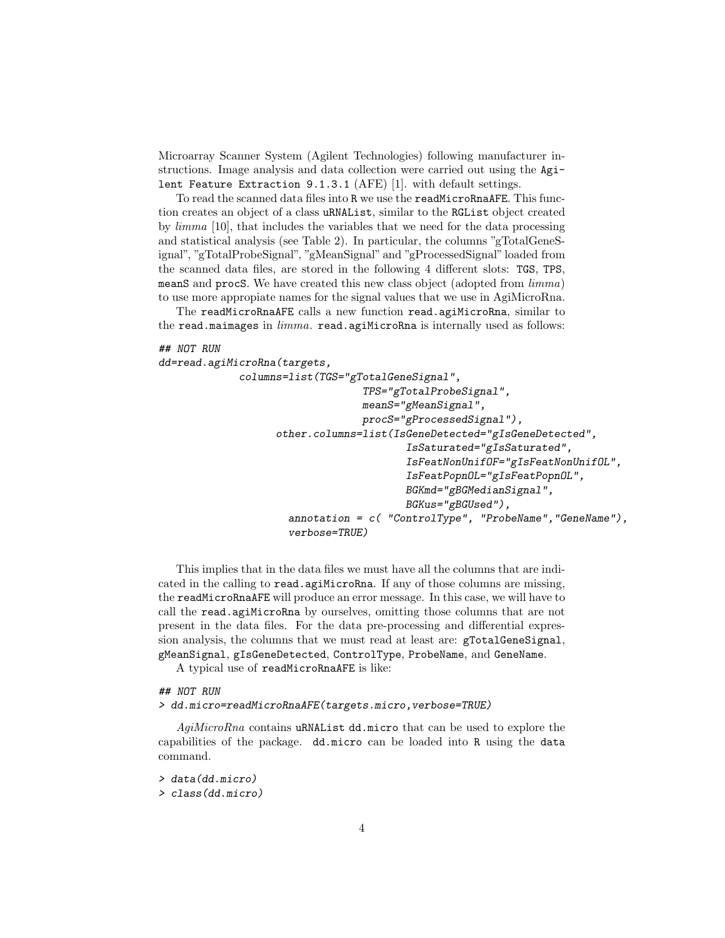Microarray Scanner System (Agilent Technologies) following manufacturer instructions. Image analysis and data collection were carried out using the Agilent Feature Extraction 9.1.3.1 (AFE) [1]. with default settings.

To read the scanned data files into R we use the readMicroRnaAFE. This function creates an object of a class uRNAList, similar to the RGList object created by limma [10], that includes the variables that we need for the data processing and statistical analysis (see Table 2). In particular, the columns "gTotalGeneSignal", "gTotalProbeSignal", "gMeanSignal" and "gProcessedSignal" loaded from the scanned data files, are stored in the following 4 different slots: TGS, TPS, meanS and procS. We have created this new class object (adopted from limma) to use more appropiate names for the signal values that we use in AgiMicroRna.

The readMicroRnaAFE calls a new function read.agiMicroRna, similar to the read.maimages in  $limma$ . read.agiMicroRna is internally used as follows:

#### ## NOT RUN

```
dd=read.agiMicroRna(targets,
             columns=list(TGS="gTotalGeneSignal",
                                 TPS="gTotalProbeSignal",
                                 meanS="gMeanSignal",
                                 procS="gProcessedSignal"),
                   other.columns=list(IsGeneDetected="gIsGeneDetected",
                                         IsSaturated="gIsSaturated",
                                         IsFeatNonUnifOF="gIsFeatNonUnifOL",
                                         IsFeatPopnOL="gIsFeatPopnOL",
                                         BGKmd="gBGMedianSignal",
                                         BGKus="gBGUsed"),
                     annotation = c( "ControlType", "ProbeName","GeneName"),
                     verbose=TRUE)
```
This implies that in the data files we must have all the columns that are indicated in the calling to read.agiMicroRna. If any of those columns are missing, the readMicroRnaAFE will produce an error message. In this case, we will have to call the read.agiMicroRna by ourselves, omitting those columns that are not present in the data files. For the data pre-processing and differential expression analysis, the columns that we must read at least are: gTotalGeneSignal, gMeanSignal, gIsGeneDetected, ControlType, ProbeName, and GeneName.

A typical use of readMicroRnaAFE is like:

#### ## NOT RUN

> dd.micro=readMicroRnaAFE(targets.micro,verbose=TRUE)

AgiMicroRna contains uRNAList dd.micro that can be used to explore the capabilities of the package. dd.micro can be loaded into R using the data command.

```
> data(dd.micro)
```

```
> class(dd.micro)
```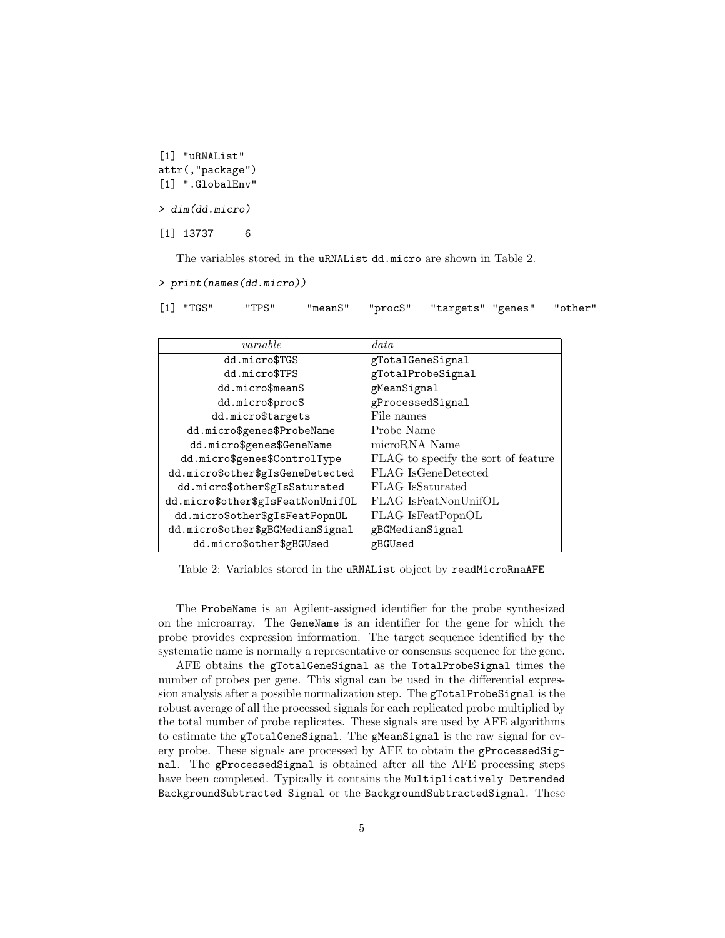```
[1] "uRNAList"
attr(,"package")
[1] ".GlobalEnv"
> dim(dd.micro)
[1] 13737 6
```
The variables stored in the uRNAList dd.micro are shown in Table 2.

```
> print(names(dd.micro))
```
[1] "TGS" "TPS" "meanS" "procS" "targets" "genes" "other"

| variable                          | data                                |
|-----------------------------------|-------------------------------------|
| dd.micro\$TGS                     | gTotalGeneSignal                    |
| dd.micro\$TPS                     | gTotalProbeSignal                   |
| dd.micro\$meanS                   | gMeanSignal                         |
| dd.micro\$procS                   | gProcessedSignal                    |
| dd.micro\$targets                 | File names                          |
| dd.micro\$genes\$ProbeName        | Probe Name                          |
| dd.micro\$genes\$GeneName         | microRNA Name                       |
| dd.micro\$genes\$ControlType      | FLAG to specify the sort of feature |
| dd.micro\$other\$gIsGeneDetected  | <b>FLAG</b> IsGeneDetected          |
| dd.micro\$other\$gIsSaturated     | FLAG IsSaturated                    |
| dd.micro\$other\$gIsFeatNonUnifOL | FLAG IsFeatNonUnifOL                |
| dd.micro\$other\$gIsFeatPopnOL    | FLAG IsFeatPopnOL                   |
| dd.micro\$other\$gBGMedianSignal  | gBGMedianSignal                     |
| dd.micro\$other\$gBGUsed          | gBGUsed                             |

Table 2: Variables stored in the uRNAList object by readMicroRnaAFE

The ProbeName is an Agilent-assigned identifier for the probe synthesized on the microarray. The GeneName is an identifier for the gene for which the probe provides expression information. The target sequence identified by the systematic name is normally a representative or consensus sequence for the gene.

AFE obtains the gTotalGeneSignal as the TotalProbeSignal times the number of probes per gene. This signal can be used in the differential expression analysis after a possible normalization step. The gTotalProbeSignal is the robust average of all the processed signals for each replicated probe multiplied by the total number of probe replicates. These signals are used by AFE algorithms to estimate the gTotalGeneSignal. The gMeanSignal is the raw signal for every probe. These signals are processed by AFE to obtain the gProcessedSignal. The gProcessedSignal is obtained after all the AFE processing steps have been completed. Typically it contains the Multiplicatively Detrended BackgroundSubtracted Signal or the BackgroundSubtractedSignal. These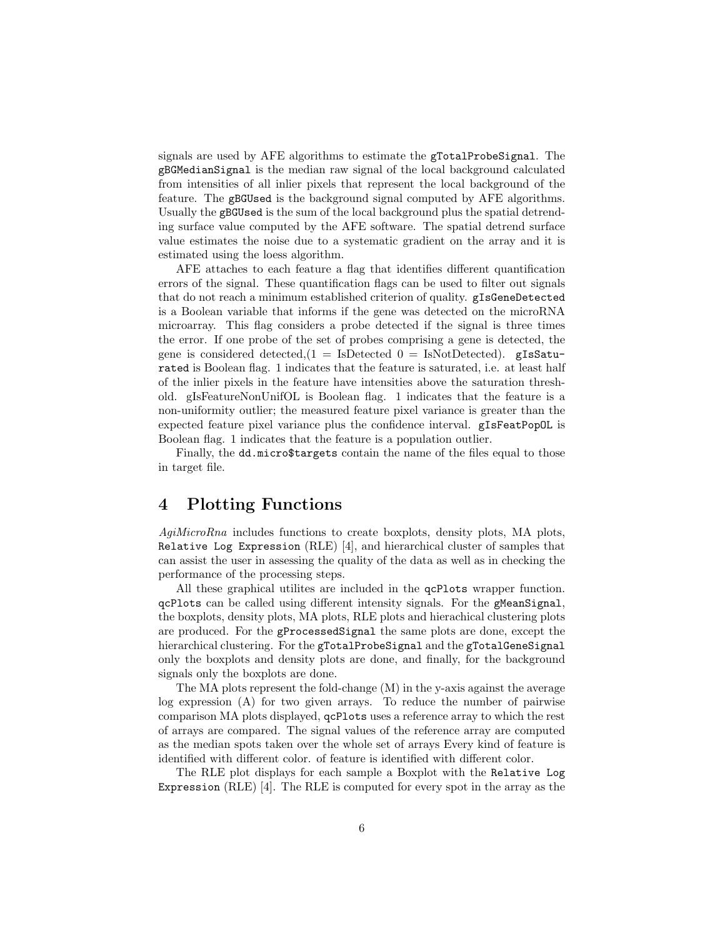signals are used by AFE algorithms to estimate the gTotalProbeSignal. The gBGMedianSignal is the median raw signal of the local background calculated from intensities of all inlier pixels that represent the local background of the feature. The gBGUsed is the background signal computed by AFE algorithms. Usually the gBGUsed is the sum of the local background plus the spatial detrending surface value computed by the AFE software. The spatial detrend surface value estimates the noise due to a systematic gradient on the array and it is estimated using the loess algorithm.

AFE attaches to each feature a flag that identifies different quantification errors of the signal. These quantification flags can be used to filter out signals that do not reach a minimum established criterion of quality. gIsGeneDetected is a Boolean variable that informs if the gene was detected on the microRNA microarray. This flag considers a probe detected if the signal is three times the error. If one probe of the set of probes comprising a gene is detected, the gene is considered detected, $(1 = \text{IsDetected } 0 = \text{IsNotDetected})$ . gIsSaturated is Boolean flag. 1 indicates that the feature is saturated, i.e. at least half of the inlier pixels in the feature have intensities above the saturation threshold. gIsFeatureNonUnifOL is Boolean flag. 1 indicates that the feature is a non-uniformity outlier; the measured feature pixel variance is greater than the expected feature pixel variance plus the confidence interval. gIsFeatPopOL is Boolean flag. 1 indicates that the feature is a population outlier.

Finally, the dd.micro\$targets contain the name of the files equal to those in target file.

### 4 Plotting Functions

AgiMicroRna includes functions to create boxplots, density plots, MA plots, Relative Log Expression (RLE) [4], and hierarchical cluster of samples that can assist the user in assessing the quality of the data as well as in checking the performance of the processing steps.

All these graphical utilites are included in the qcPlots wrapper function. qcPlots can be called using different intensity signals. For the gMeanSignal, the boxplots, density plots, MA plots, RLE plots and hierachical clustering plots are produced. For the gProcessedSignal the same plots are done, except the hierarchical clustering. For the gTotalProbeSignal and the gTotalGeneSignal only the boxplots and density plots are done, and finally, for the background signals only the boxplots are done.

The MA plots represent the fold-change (M) in the y-axis against the average log expression (A) for two given arrays. To reduce the number of pairwise comparison MA plots displayed, qcPlots uses a reference array to which the rest of arrays are compared. The signal values of the reference array are computed as the median spots taken over the whole set of arrays Every kind of feature is identified with different color. of feature is identified with different color.

The RLE plot displays for each sample a Boxplot with the Relative Log Expression (RLE) [4]. The RLE is computed for every spot in the array as the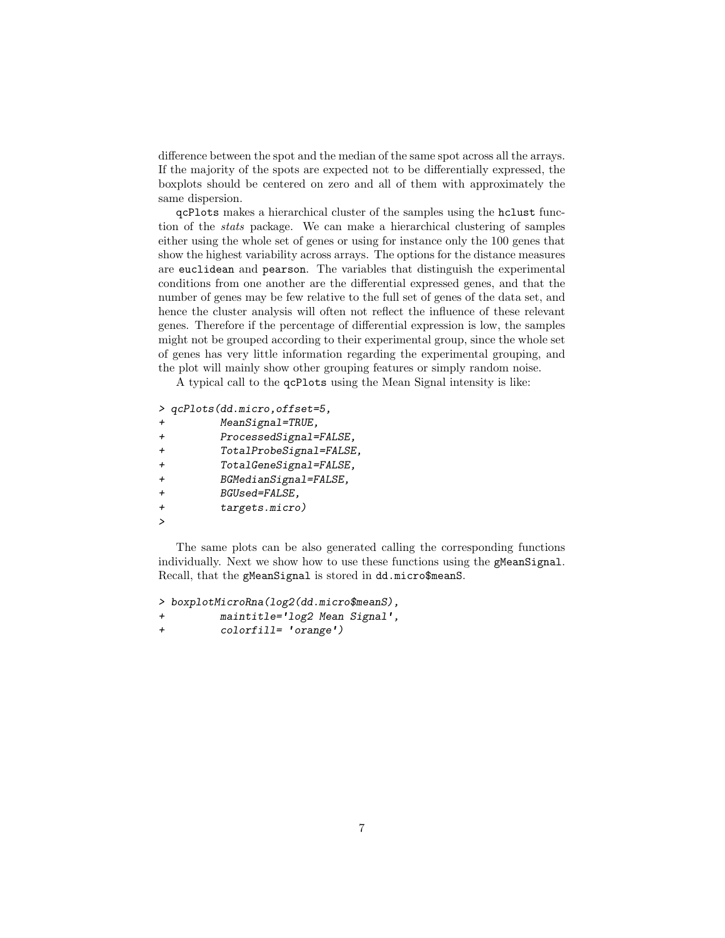difference between the spot and the median of the same spot across all the arrays. If the majority of the spots are expected not to be differentially expressed, the boxplots should be centered on zero and all of them with approximately the same dispersion.

qcPlots makes a hierarchical cluster of the samples using the hclust function of the stats package. We can make a hierarchical clustering of samples either using the whole set of genes or using for instance only the 100 genes that show the highest variability across arrays. The options for the distance measures are euclidean and pearson. The variables that distinguish the experimental conditions from one another are the differential expressed genes, and that the number of genes may be few relative to the full set of genes of the data set, and hence the cluster analysis will often not reflect the influence of these relevant genes. Therefore if the percentage of differential expression is low, the samples might not be grouped according to their experimental group, since the whole set of genes has very little information regarding the experimental grouping, and the plot will mainly show other grouping features or simply random noise.

A typical call to the qcPlots using the Mean Signal intensity is like:

```
> qcPlots(dd.micro,offset=5,
+ MeanSignal=TRUE,
+ ProcessedSignal=FALSE,
+ TotalProbeSignal=FALSE,
+ TotalGeneSignal=FALSE,
+ BGMedianSignal=FALSE,
+ BGUsed=FALSE,
```

```
+ targets.micro)
```
The same plots can be also generated calling the corresponding functions individually. Next we show how to use these functions using the gMeanSignal. Recall, that the gMeanSignal is stored in dd.micro\$meanS.

```
> boxplotMicroRna(log2(dd.micro$meanS),
+ maintitle='log2 Mean Signal',
+ colorfill= 'orange')
```
<sup>&</sup>gt;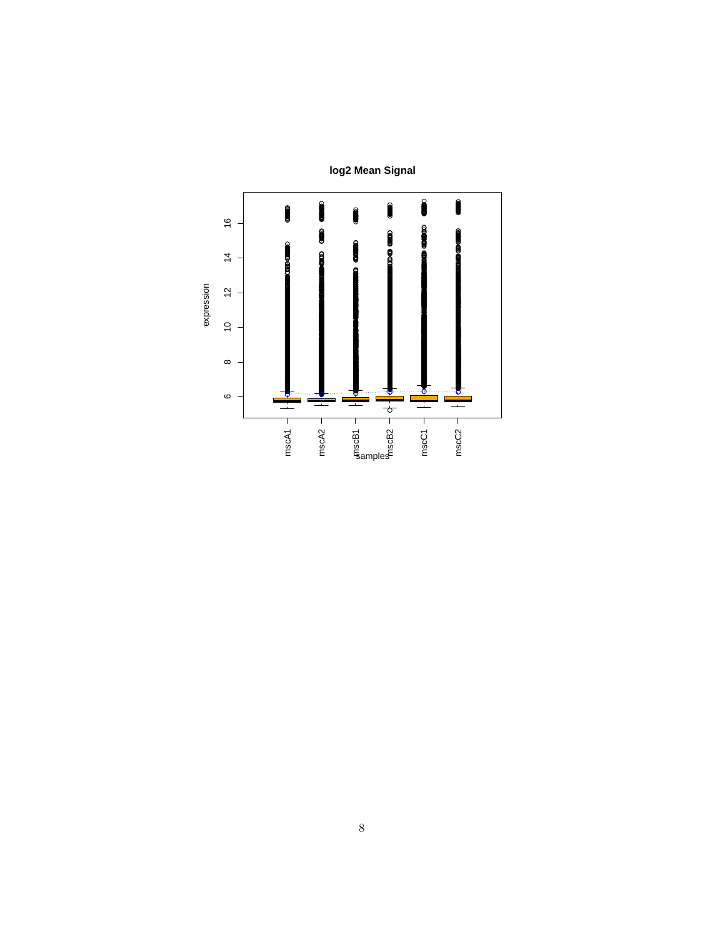

log2 Mean Signal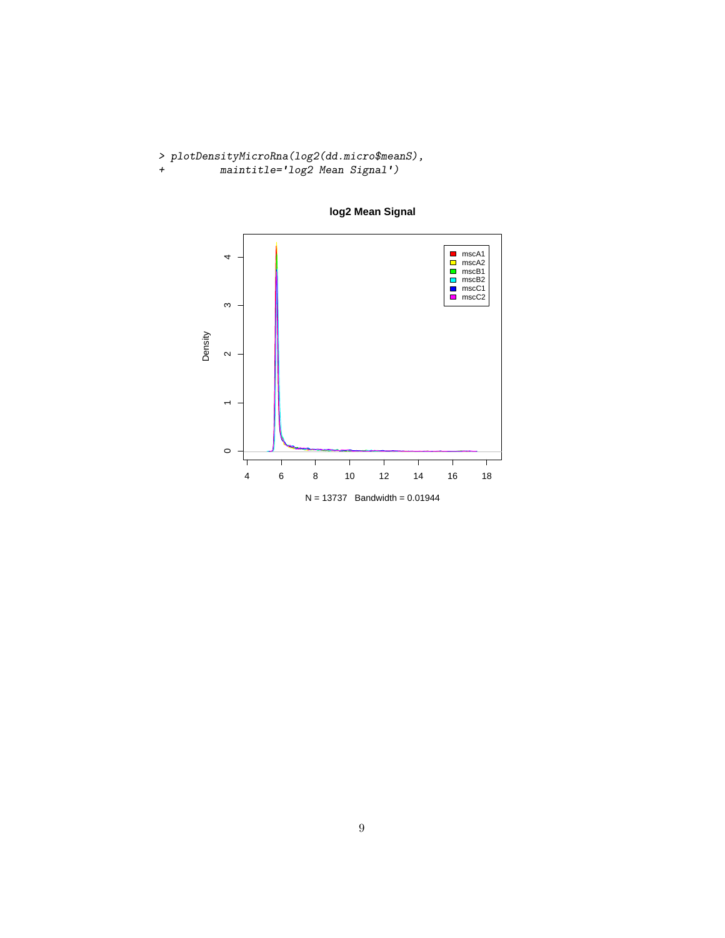> plotDensityMicroRna(log2(dd.micro\$meanS), + maintitle='log2 Mean Signal')



**log2 Mean Signal**

 $N = 13737$  Bandwidth = 0.01944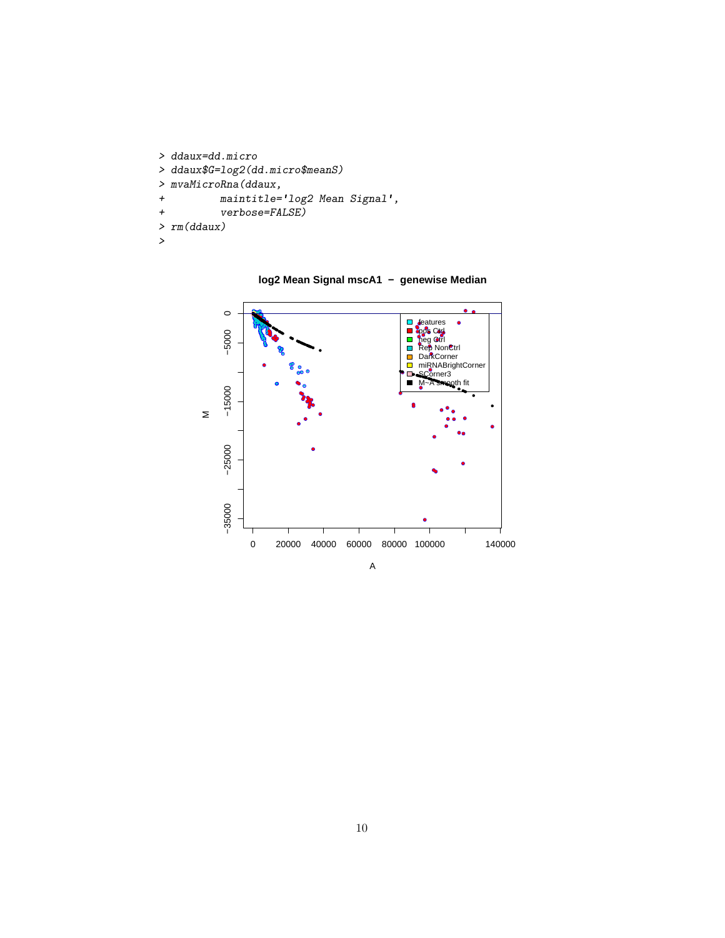```
> ddaux=dd.micro
> ddaux$G=log2(dd.micro$meanS)
> mvaMicroRna(ddaux,
              maintitle='log2 Mean Signal',<br>verbose=FALSE)
\overline{+}\overline{1}> rm(ddaux)\rightarrow
```


log2 Mean Signal mscA1 - genewise Median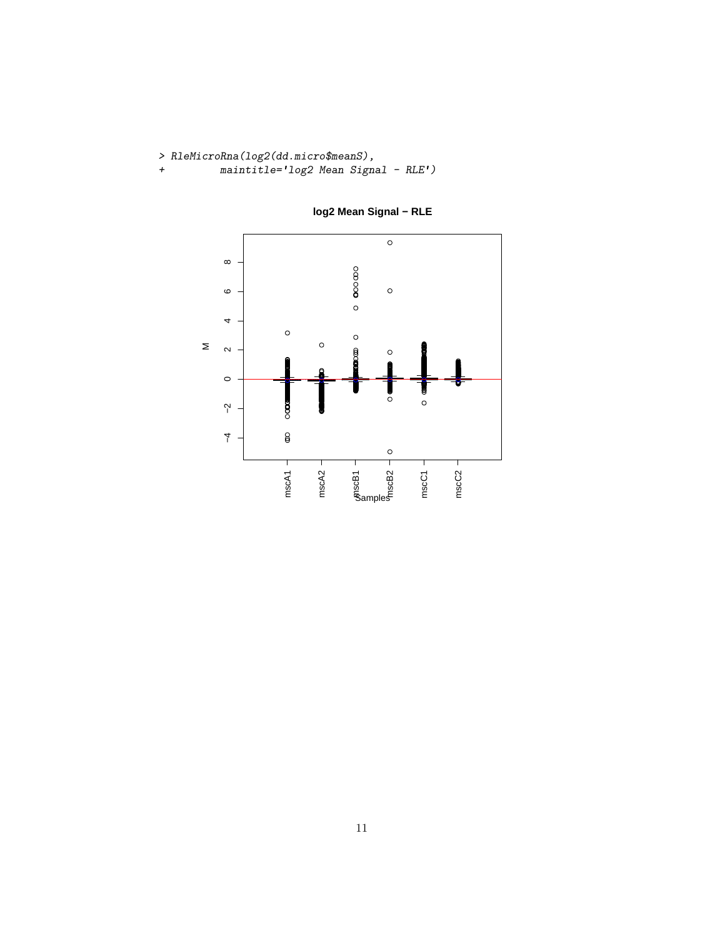$> {\it R1eMicroRna (log2(dd.micro$means) },$ 

maintitle='log2 Mean Signal - RLE')  $\overline{+}$ 



log2 Mean Signal - RLE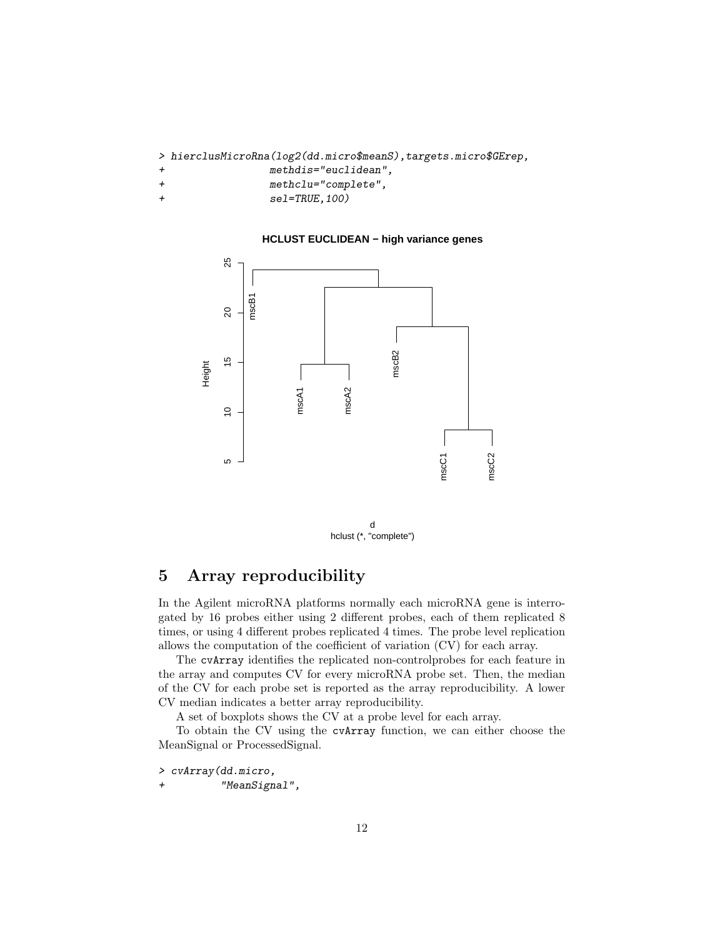```
> hierclusMicroRna(log2(dd.micro$meanS),targets.micro$GErep,
+ methdis="euclidean",
+ methclu="complete",
```
+ sel=TRUE,100)

**HCLUST EUCLIDEAN − high variance genes**





## 5 Array reproducibility

In the Agilent microRNA platforms normally each microRNA gene is interrogated by 16 probes either using 2 different probes, each of them replicated 8 times, or using 4 different probes replicated 4 times. The probe level replication allows the computation of the coefficient of variation (CV) for each array.

The cvArray identifies the replicated non-controlprobes for each feature in the array and computes CV for every microRNA probe set. Then, the median of the CV for each probe set is reported as the array reproducibility. A lower CV median indicates a better array reproducibility.

A set of boxplots shows the CV at a probe level for each array.

To obtain the CV using the cvArray function, we can either choose the MeanSignal or ProcessedSignal.

```
> cvArray(dd.micro,
```

```
+ "MeanSignal",
```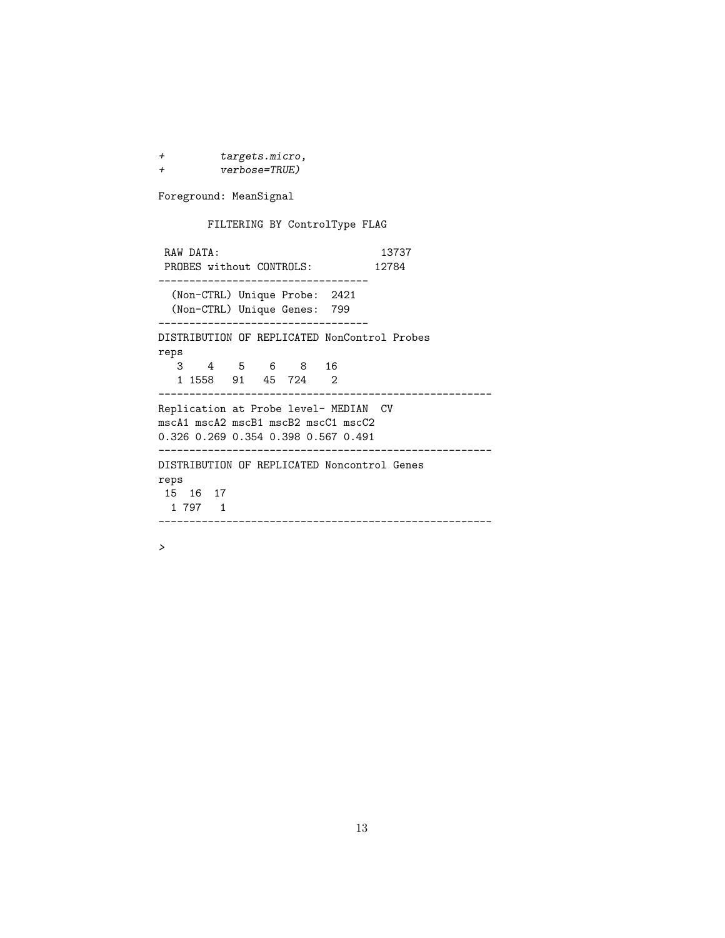+ targets.micro, + verbose=TRUE)

Foreground: MeanSignal

FILTERING BY ControlType FLAG

```
RAW DATA: 13737
PROBES without CONTROLS: 12784
----------------------------------
  (Non-CTRL) Unique Probe: 2421
 (Non-CTRL) Unique Genes: 799
----------------------------------
DISTRIBUTION OF REPLICATED NonControl Probes
reps
  3 4 5 6 8 16
  1 1558 91 45 724 2
------------------------------------------------------
Replication at Probe level- MEDIAN CV
mscA1 mscA2 mscB1 mscB2 mscC1 mscC2
0.326 0.269 0.354 0.398 0.567 0.491
------------------------------------------------------
DISTRIBUTION OF REPLICATED Noncontrol Genes
reps
15 16 17
1 797 1
------------------------------------------------------
```
>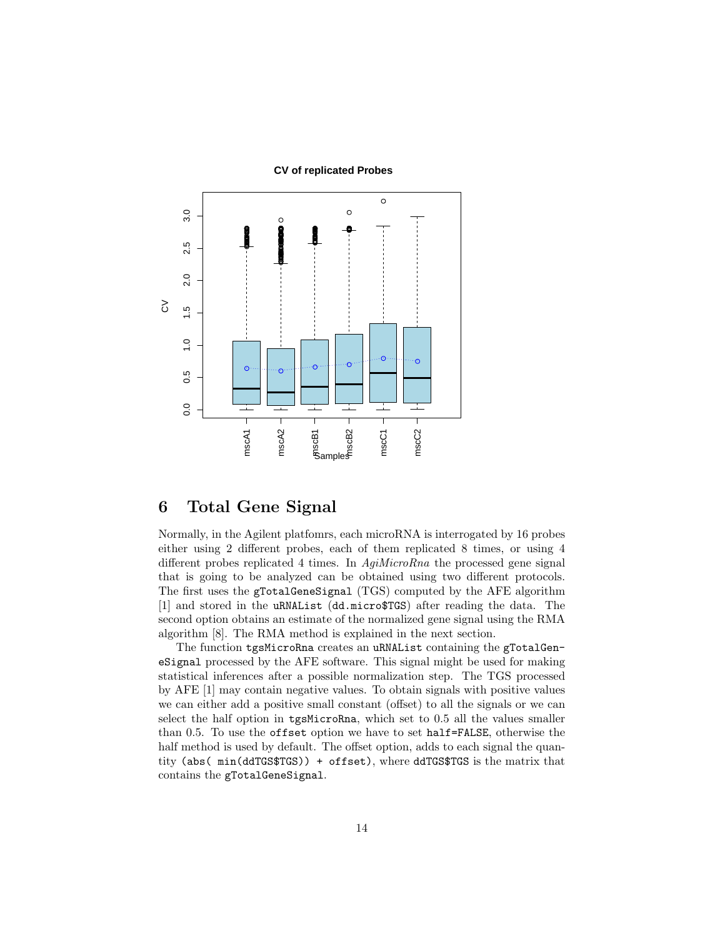

#### **CV of replicated Probes**

## 6 Total Gene Signal

Normally, in the Agilent platfomrs, each microRNA is interrogated by 16 probes either using 2 different probes, each of them replicated 8 times, or using 4 different probes replicated 4 times. In  $AgiMicroRna$  the processed gene signal that is going to be analyzed can be obtained using two different protocols. The first uses the gTotalGeneSignal (TGS) computed by the AFE algorithm [1] and stored in the uRNAList (dd.micro\$TGS) after reading the data. The second option obtains an estimate of the normalized gene signal using the RMA algorithm [8]. The RMA method is explained in the next section.

The function tgsMicroRna creates an uRNAList containing the gTotalGeneSignal processed by the AFE software. This signal might be used for making statistical inferences after a possible normalization step. The TGS processed by AFE [1] may contain negative values. To obtain signals with positive values we can either add a positive small constant (offset) to all the signals or we can select the half option in tgsMicroRna, which set to 0.5 all the values smaller than 0.5. To use the offset option we have to set half=FALSE, otherwise the half method is used by default. The offset option, adds to each signal the quantity (abs( min(ddTGS\$TGS)) + offset), where ddTGS\$TGS is the matrix that contains the gTotalGeneSignal.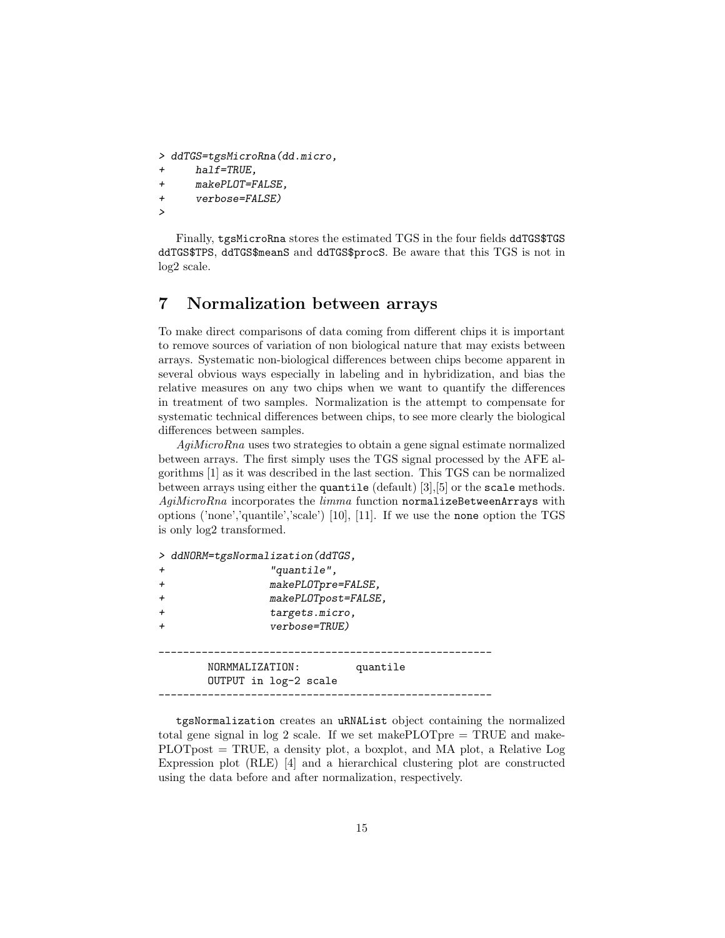```
> ddTGS=tgsMicroRna(dd.micro,
     half=TRUE,
     makePLOT=FALSE,
+ verbose=FALSE)
```

```
>
```
Finally, tgsMicroRna stores the estimated TGS in the four fields ddTGS\$TGS ddTGS\$TPS, ddTGS\$meanS and ddTGS\$procS. Be aware that this TGS is not in log2 scale.

## 7 Normalization between arrays

To make direct comparisons of data coming from different chips it is important to remove sources of variation of non biological nature that may exists between arrays. Systematic non-biological differences between chips become apparent in several obvious ways especially in labeling and in hybridization, and bias the relative measures on any two chips when we want to quantify the differences in treatment of two samples. Normalization is the attempt to compensate for systematic technical differences between chips, to see more clearly the biological differences between samples.

AgiMicroRna uses two strategies to obtain a gene signal estimate normalized between arrays. The first simply uses the TGS signal processed by the AFE algorithms [1] as it was described in the last section. This TGS can be normalized between arrays using either the quantile (default) [3],[5] or the scale methods.  $AgiMicroRna$  incorporates the  $limma$  function normalizeBetweenArrays with options ('none','quantile','scale') [10], [11]. If we use the none option the TGS is only log2 transformed.

```
> ddNORM=tgsNormalization(ddTGS,
+ "quantile",
+ makePLOTpre=FALSE,
+ makePLOTpost=FALSE,
+ targets.micro,
+ verbose=TRUE)
         ------------------------------------------------------
      NORMMALIZATION: quantile
      OUTPUT in log-2 scale
     ------------------------------------------------------
```
tgsNormalization creates an uRNAList object containing the normalized total gene signal in log 2 scale. If we set makePLOTpre = TRUE and make-PLOTpost = TRUE, a density plot, a boxplot, and MA plot, a Relative Log Expression plot (RLE) [4] and a hierarchical clustering plot are constructed using the data before and after normalization, respectively.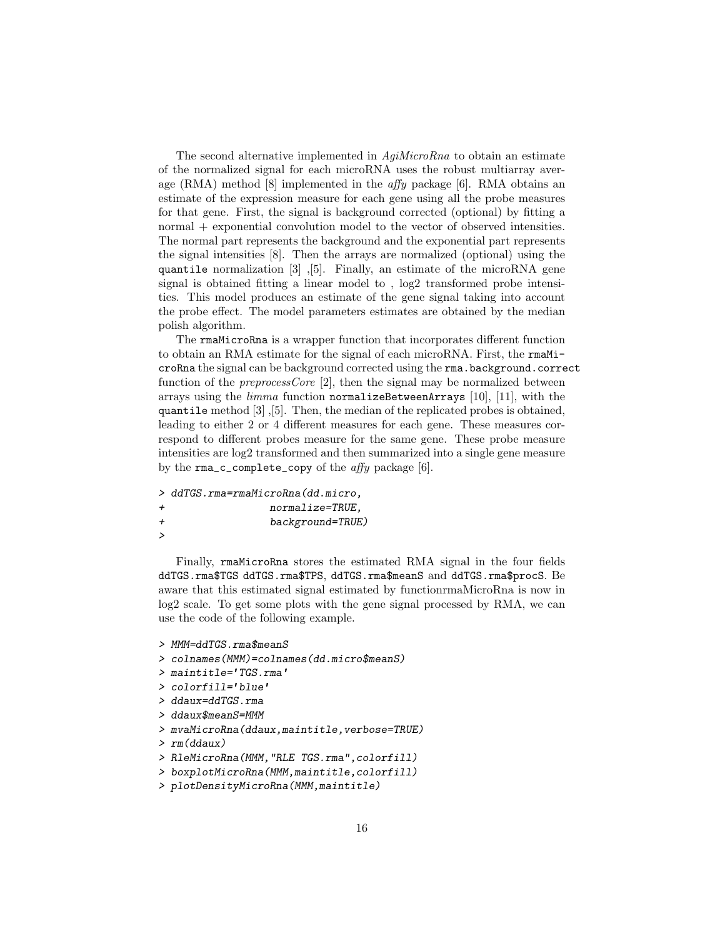The second alternative implemented in  $AgiMicroRna$  to obtain an estimate of the normalized signal for each microRNA uses the robust multiarray average (RMA) method [8] implemented in the *affy* package [6]. RMA obtains an estimate of the expression measure for each gene using all the probe measures for that gene. First, the signal is background corrected (optional) by fitting a normal + exponential convolution model to the vector of observed intensities. The normal part represents the background and the exponential part represents the signal intensities [8]. Then the arrays are normalized (optional) using the quantile normalization [3] ,[5]. Finally, an estimate of the microRNA gene signal is obtained fitting a linear model to , log2 transformed probe intensities. This model produces an estimate of the gene signal taking into account the probe effect. The model parameters estimates are obtained by the median polish algorithm.

The rmaMicroRna is a wrapper function that incorporates different function to obtain an RMA estimate for the signal of each microRNA. First, the rmaMicroRna the signal can be background corrected using the rma.background.correct function of the *preprocessCore*  $[2]$ , then the signal may be normalized between arrays using the *limma* function normalizeBetweenArrays [10], [11], with the quantile method [3] ,[5]. Then, the median of the replicated probes is obtained, leading to either 2 or 4 different measures for each gene. These measures correspond to different probes measure for the same gene. These probe measure intensities are log2 transformed and then summarized into a single gene measure by the  $\texttt{rma_c\_complete\_copy}$  of the affy package [6].

```
> ddTGS.rma=rmaMicroRna(dd.micro,
+ normalize=TRUE,
+ background=TRUE)
>
```
Finally, rmaMicroRna stores the estimated RMA signal in the four fields ddTGS.rma\$TGS ddTGS.rma\$TPS, ddTGS.rma\$meanS and ddTGS.rma\$procS. Be aware that this estimated signal estimated by functionrmaMicroRna is now in log2 scale. To get some plots with the gene signal processed by RMA, we can use the code of the following example.

```
> MMM=ddTGS.rma$meanS
```
- > colnames(MMM)=colnames(dd.micro\$meanS)
- > maintitle='TGS.rma'
- > colorfill='blue'
- > ddaux=ddTGS.rma
- > ddaux\$meanS=MMM
- > mvaMicroRna(ddaux,maintitle,verbose=TRUE)
- > rm(ddaux)
- > RleMicroRna(MMM,"RLE TGS.rma",colorfill)
- > boxplotMicroRna(MMM,maintitle,colorfill)
- > plotDensityMicroRna(MMM,maintitle)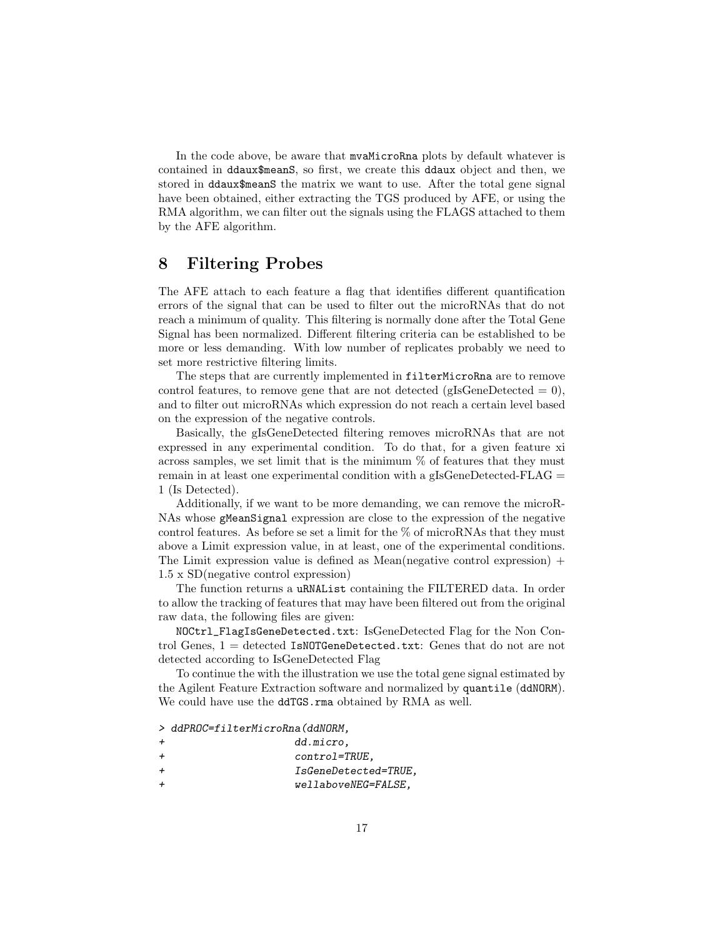In the code above, be aware that mvaMicroRna plots by default whatever is contained in ddaux\$meanS, so first, we create this ddaux object and then, we stored in ddaux\$meanS the matrix we want to use. After the total gene signal have been obtained, either extracting the TGS produced by AFE, or using the RMA algorithm, we can filter out the signals using the FLAGS attached to them by the AFE algorithm.

### 8 Filtering Probes

The AFE attach to each feature a flag that identifies different quantification errors of the signal that can be used to filter out the microRNAs that do not reach a minimum of quality. This filtering is normally done after the Total Gene Signal has been normalized. Different filtering criteria can be established to be more or less demanding. With low number of replicates probably we need to set more restrictive filtering limits.

The steps that are currently implemented in filterMicroRna are to remove control features, to remove gene that are not detected (gIsGeneDetected  $= 0$ ), and to filter out microRNAs which expression do not reach a certain level based on the expression of the negative controls.

Basically, the gIsGeneDetected filtering removes microRNAs that are not expressed in any experimental condition. To do that, for a given feature xi across samples, we set limit that is the minimum % of features that they must remain in at least one experimental condition with a gIsGeneDetected-FLAG = 1 (Is Detected).

Additionally, if we want to be more demanding, we can remove the microR-NAs whose gMeanSignal expression are close to the expression of the negative control features. As before se set a limit for the % of microRNAs that they must above a Limit expression value, in at least, one of the experimental conditions. The Limit expression value is defined as Mean(negative control expression) + 1.5 x SD(negative control expression)

The function returns a uRNAList containing the FILTERED data. In order to allow the tracking of features that may have been filtered out from the original raw data, the following files are given:

NOCtrl\_FlagIsGeneDetected.txt: IsGeneDetected Flag for the Non Control Genes, 1 = detected IsNOTGeneDetected.txt: Genes that do not are not detected according to IsGeneDetected Flag

To continue the with the illustration we use the total gene signal estimated by the Agilent Feature Extraction software and normalized by quantile (ddNORM). We could have use the ddTGS.rma obtained by RMA as well.

> ddPROC=filterMicroRna(ddNORM,

+ dd.micro,

| $control$ = $TRUE$ . |
|----------------------|
|                      |

- + IsGeneDetected=TRUE,
- wellaboveNEG=FALSE,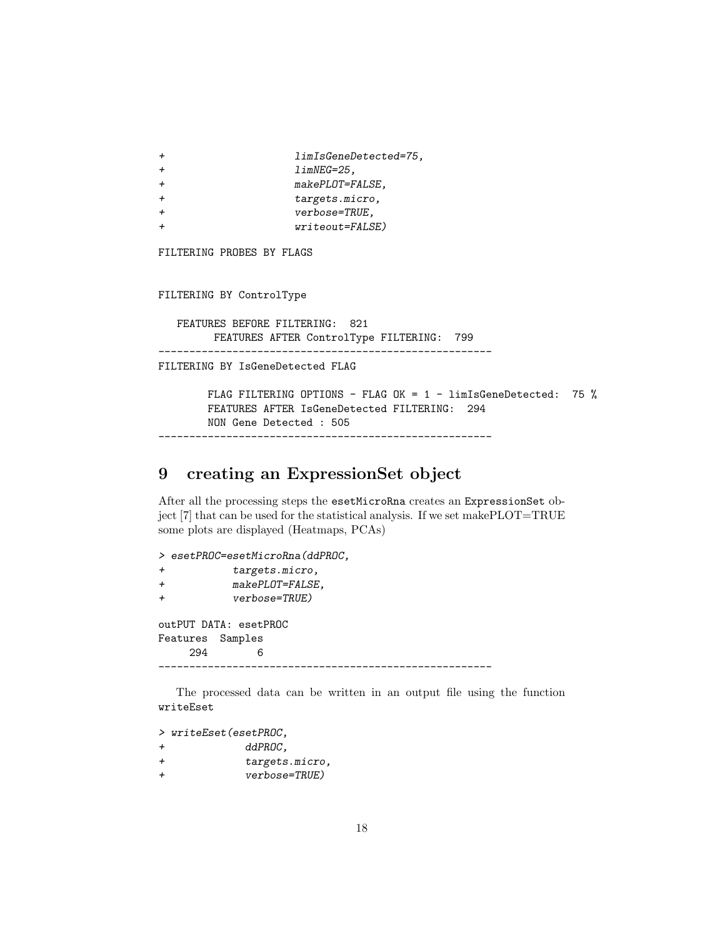```
+ limNEG=25,
                  makePLOT=FALSE,
+ targets.micro,
+ verbose=TRUE,
+ writeout=FALSE)
FILTERING PROBES BY FLAGS
FILTERING BY ControlType
  FEATURES BEFORE FILTERING: 821
       FEATURES AFTER ControlType FILTERING: 799
------------------------------------------------------
FILTERING BY IsGeneDetected FLAG
      FLAG FILTERING OPTIONS - FLAG OK = 1 - limIsGeneDetected: 75 %
      FEATURES AFTER IsGeneDetected FILTERING: 294
      NON Gene Detected : 505
------------------------------------------------------
```
## 9 creating an ExpressionSet object

+ limIsGeneDetected=75,

After all the processing steps the esetMicroRna creates an ExpressionSet object [7] that can be used for the statistical analysis. If we set makePLOT=TRUE some plots are displayed (Heatmaps, PCAs)

```
> esetPROC=esetMicroRna(ddPROC,
+ targets.micro,
+ makePLOT=FALSE,
+ verbose=TRUE)
outPUT DATA: esetPROC
Features Samples
    294 6
------------------------------------------------------
```
The processed data can be written in an output file using the function writeEset

> writeEset(esetPROC, + ddPROC, + targets.micro, + verbose=TRUE)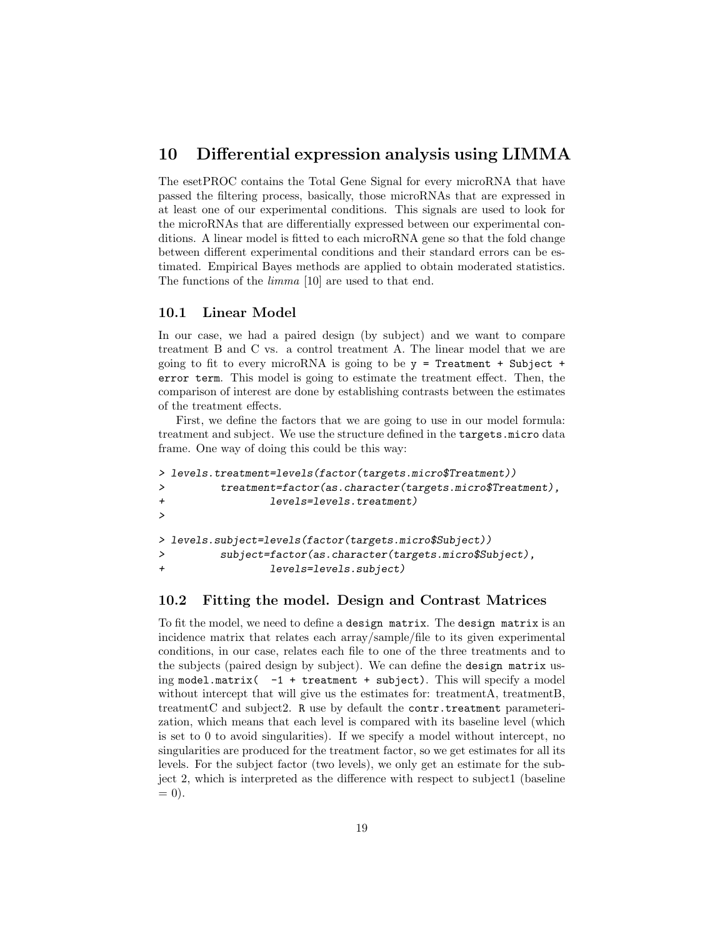### 10 Differential expression analysis using LIMMA

The esetPROC contains the Total Gene Signal for every microRNA that have passed the filtering process, basically, those microRNAs that are expressed in at least one of our experimental conditions. This signals are used to look for the microRNAs that are differentially expressed between our experimental conditions. A linear model is fitted to each microRNA gene so that the fold change between different experimental conditions and their standard errors can be estimated. Empirical Bayes methods are applied to obtain moderated statistics. The functions of the limma [10] are used to that end.

### 10.1 Linear Model

In our case, we had a paired design (by subject) and we want to compare treatment B and C vs. a control treatment A. The linear model that we are going to fit to every microRNA is going to be y = Treatment + Subject + error term. This model is going to estimate the treatment effect. Then, the comparison of interest are done by establishing contrasts between the estimates of the treatment effects.

First, we define the factors that we are going to use in our model formula: treatment and subject. We use the structure defined in the targets.micro data frame. One way of doing this could be this way:

```
> levels.treatment=levels(factor(targets.micro$Treatment))
> treatment=factor(as.character(targets.micro$Treatment),
+ levels=levels.treatment)
>
> levels.subject=levels(factor(targets.micro$Subject))
> subject=factor(as.character(targets.micro$Subject),
+ levels=levels.subject)
```
### 10.2 Fitting the model. Design and Contrast Matrices

To fit the model, we need to define a design matrix. The design matrix is an incidence matrix that relates each array/sample/file to its given experimental conditions, in our case, relates each file to one of the three treatments and to the subjects (paired design by subject). We can define the design matrix using model.matrix( $-1$  + treatment + subject). This will specify a model without intercept that will give us the estimates for: treatmentA, treatmentB, treatmentC and subject2. R use by default the contr.treatment parameterization, which means that each level is compared with its baseline level (which is set to 0 to avoid singularities). If we specify a model without intercept, no singularities are produced for the treatment factor, so we get estimates for all its levels. For the subject factor (two levels), we only get an estimate for the subject 2, which is interpreted as the difference with respect to subject1 (baseline  $= 0$ ).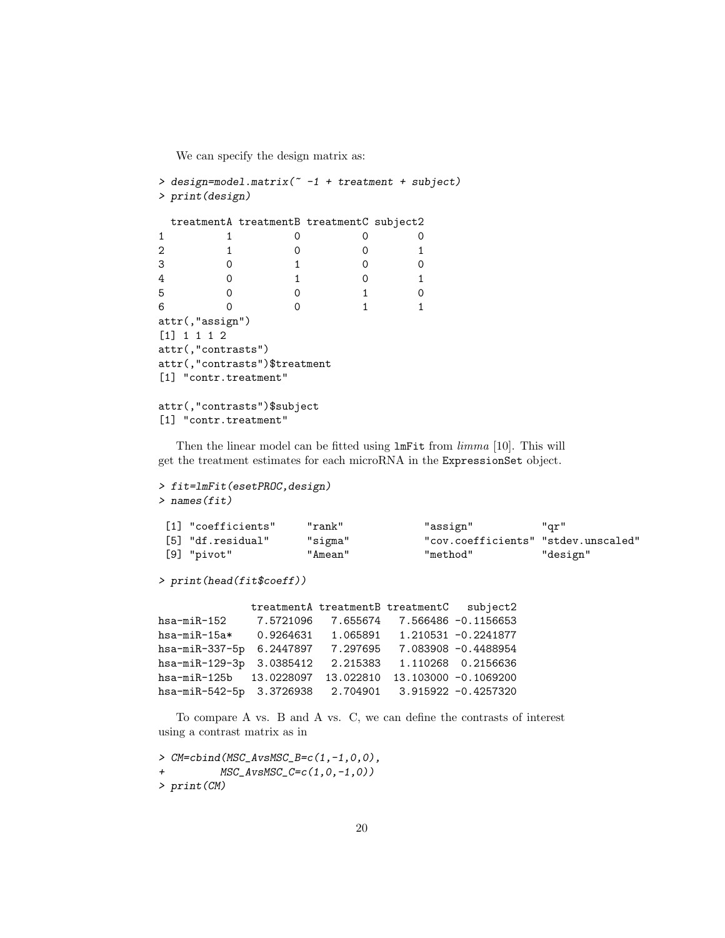We can specify the design matrix as:

```
> design=model.matrix(~ -1 + treatment + subject)
> print(design)
 treatmentA treatmentB treatmentC subject2
1 0 0 0
2 1 0 0 1
3 0 1 0 0
4 0 1 0 1
5 0 0 1 0
6 0 0 1 1
attr(,"assign")
[1] 1 1 1 2
attr(,"contrasts")
attr(,"contrasts")$treatment
[1] "contr.treatment"
attr(,"contrasts")$subject
[1] "contr.treatment"
```
Then the linear model can be fitted using  $lmFit$  from *limma* [10]. This will get the treatment estimates for each microRNA in the ExpressionSet object.

```
> fit=lmFit(esetPROC,design)
> names(fit)
```

| [1] "coefficients" | "rank"  | "assign"                            | "gr"     |
|--------------------|---------|-------------------------------------|----------|
| [5] "df.residual"  | "sigma" | "cov.coefficients" "stdev.unscaled" |          |
| [9] "pivot"        | "Amean" | "method"                            | "design" |

```
> print(head(fit$coeff))
```
treatmentA treatmentB treatmentC subject2 hsa-miR-152 7.5721096 7.655674 7.566486 -0.1156653 hsa-miR-15a\* 0.9264631 1.065891 1.210531 -0.2241877 hsa-miR-337-5p 6.2447897 7.297695 7.083908 -0.4488954 hsa-miR-129-3p 3.0385412 2.215383 1.110268 0.2156636 hsa-miR-125b 13.0228097 13.022810 13.103000 -0.1069200 hsa-miR-542-5p 3.3726938 2.704901 3.915922 -0.4257320

To compare A vs. B and A vs. C, we can define the contrasts of interest using a contrast matrix as in

> CM=cbind(MSC\_AvsMSC\_B=c(1,-1,0,0), + MSC\_AvsMSC\_C=c(1,0,-1,0)) > print(CM)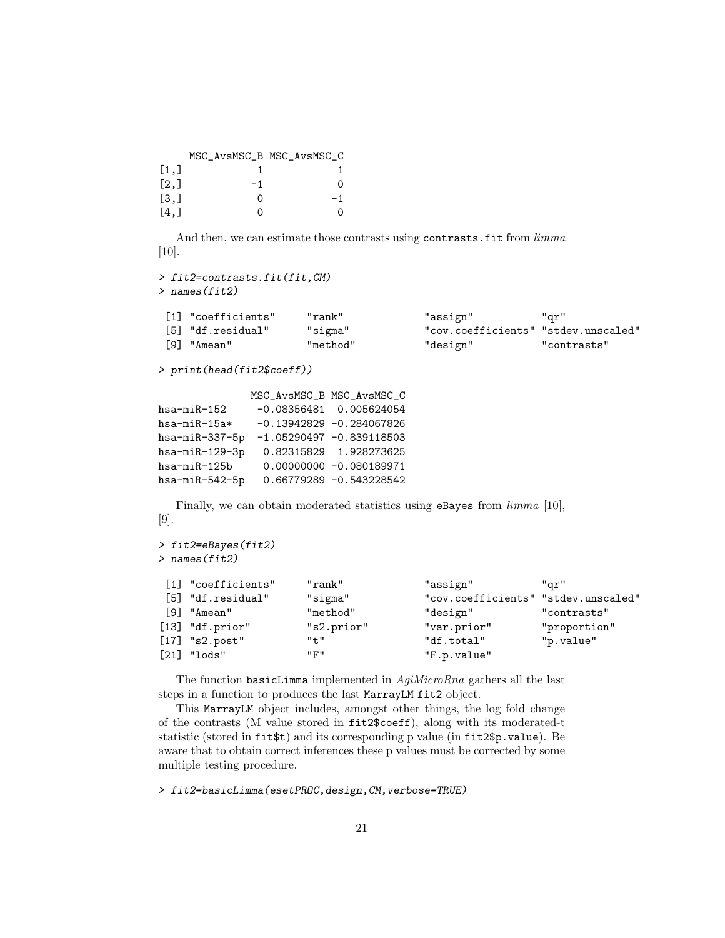|                     |      | MSC_AvsMSC_B MSC_AvsMSC_C |
|---------------------|------|---------------------------|
| [1,]                |      |                           |
| [2,]                | $-1$ | Ω                         |
| $\lceil 3.1 \rceil$ | Ω    | -1                        |
| [4,]                |      |                           |

And then, we can estimate those contrasts using contrasts.fit from  $limma$ [10].

```
> fit2=contrasts.fit(fit,CM)
> names(fit2)
```

| [1] "coefficients" | "rank"   | "assign"                            | "gr"        |
|--------------------|----------|-------------------------------------|-------------|
| [5] "df.residual"  | "sigma"  | "cov.coefficients" "stdev.unscaled" |             |
| [9] "Amean"        | "method" | "design"                            | "contrasts" |

```
> print(head(fit2$coeff))
```

|                | MSC AvsMSC B MSC AvsMSC C   |
|----------------|-----------------------------|
| hsa-miR-152    | $-0.08356481$ 0.005624054   |
| hsa-miR-15a*   | $-0.13942829 - 0.284067826$ |
| hsa-miR-337-5p | $-1.05290497 -0.839118503$  |
| hsa-miR-129-3p | 0.82315829 1.928273625      |
| hsa-miR-125b   | 0.00000000 -0.080189971     |
| hsa-miR-542-5p | 0.66779289 -0.543228542     |

Finally, we can obtain moderated statistics using eBayes from  $limma$  [10], [9].

```
> fit2=eBayes(fit2)
> names(fit2)
[1] "coefficients" "rank" "assign" "qr"
[5] "df.residual" "sigma" "cov.coefficients" "stdev.unscaled"
[9] "Amean" "method" "design" "contrasts"
[13] "df.prior" "s2.prior" "var.prior" "proportion"
[17] "s2.post" "t" "df.total" "p.value"
[21] "lods" "F" "F" "F.p.value"
```
The function basicLimma implemented in AgiMicroRna gathers all the last steps in a function to produces the last MarrayLM fit2 object.

This MarrayLM object includes, amongst other things, the log fold change of the contrasts (M value stored in fit2\$coeff), along with its moderated-t statistic (stored in fit\$t) and its corresponding p value (in fit2\$p.value). Be aware that to obtain correct inferences these p values must be corrected by some multiple testing procedure.

> fit2=basicLimma(esetPROC,design,CM,verbose=TRUE)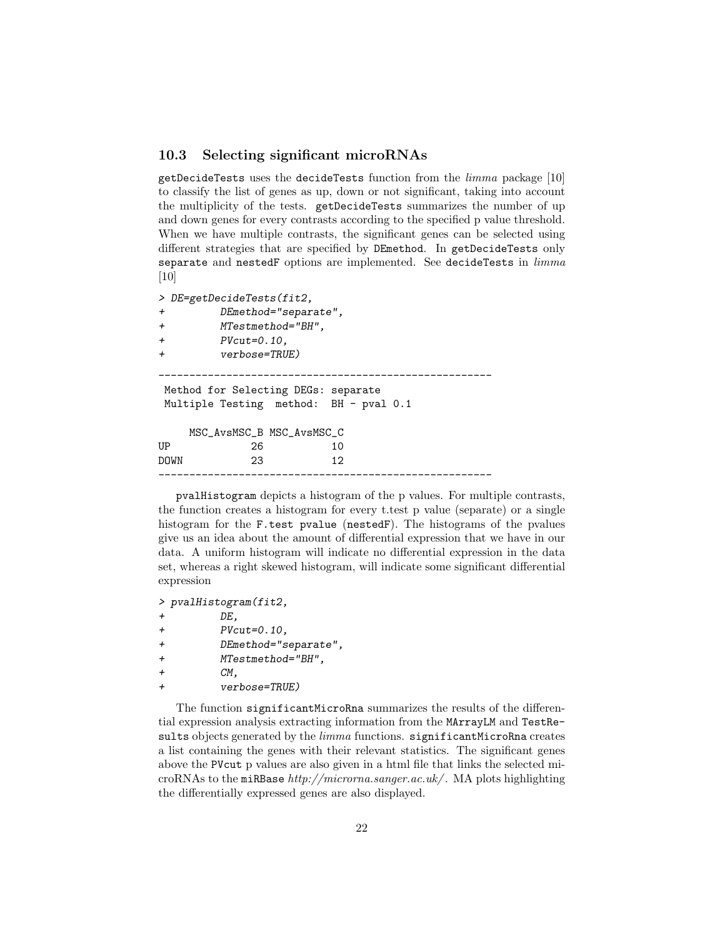### 10.3 Selecting significant microRNAs

getDecideTests uses the decideTests function from the limma package [10] to classify the list of genes as up, down or not significant, taking into account the multiplicity of the tests. getDecideTests summarizes the number of up and down genes for every contrasts according to the specified p value threshold. When we have multiple contrasts, the significant genes can be selected using different strategies that are specified by DEmethod. In getDecideTests only separate and nestedF options are implemented. See decideTests in  $limma$ [10]

```
> DE=getDecideTests(fit2,
+ DEmethod="separate",
+ MTestmethod="BH",
+ PVcut=0.10,
+ verbose=TRUE)
 ------------------------------------------------------
Method for Selecting DEGs: separate
Multiple Testing method: BH - pval 0.1
    MSC_AvsMSC_B MSC_AvsMSC_C
UP 26 10
DOWN 23 12
        ------------------------------------------------------
```
pvalHistogram depicts a histogram of the p values. For multiple contrasts, the function creates a histogram for every t.test p value (separate) or a single histogram for the F.test pvalue (nestedF). The histograms of the pvalues give us an idea about the amount of differential expression that we have in our data. A uniform histogram will indicate no differential expression in the data set, whereas a right skewed histogram, will indicate some significant differential expression

> pvalHistogram(fit2,

| $PVcut=0.10$ ,<br>$\div$<br>$\overline{+}$<br>MTestmethod="BH",<br>$+$<br>CM.<br>$\div$<br>verbose=TRUE)<br>$\div$ | DE.                  |
|--------------------------------------------------------------------------------------------------------------------|----------------------|
|                                                                                                                    |                      |
|                                                                                                                    | DEmethod="separate", |
|                                                                                                                    |                      |
|                                                                                                                    |                      |
|                                                                                                                    |                      |

The function significantMicroRna summarizes the results of the differential expression analysis extracting information from the MArrayLM and TestResults objects generated by the *limma* functions. significantMicroRna creates a list containing the genes with their relevant statistics. The significant genes above the PVcut p values are also given in a html file that links the selected microRNAs to the miRBase http://microrna.sanger.ac.uk/ . MA plots highlighting the differentially expressed genes are also displayed.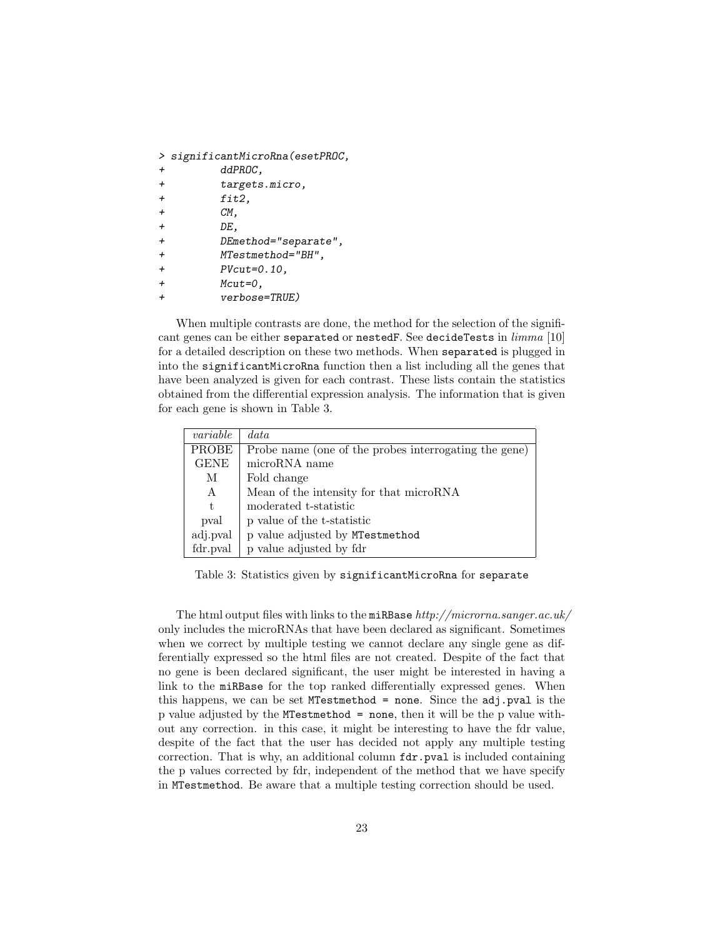|                | > significantMicroRna(esetPROC, |
|----------------|---------------------------------|
| $\ddot{}$      | ddPROC,                         |
| $\overline{+}$ | targets.micro,                  |
| $\overline{+}$ | fit2.                           |
| $\ddot{}$      | CM.                             |
| $\overline{+}$ | DE.                             |
| $\overline{+}$ | DEmethod="separate",            |
| $\ddot{}$      | MTestmethod="BH",               |
| $+$            | $PVcut=0.10$ ,                  |
| $\overline{+}$ | Mcut=0.                         |

+ verbose=TRUE)

When multiple contrasts are done, the method for the selection of the significant genes can be either separated or nestedF. See decideTests in  $limma [10]$ for a detailed description on these two methods. When separated is plugged in into the significantMicroRna function then a list including all the genes that have been analyzed is given for each contrast. These lists contain the statistics obtained from the differential expression analysis. The information that is given for each gene is shown in Table 3.

| variable    | data                                                  |
|-------------|-------------------------------------------------------|
| PROBE       | Probe name (one of the probes interrogating the gene) |
| <b>GENE</b> | microRNA name                                         |
| М           | Fold change                                           |
| A           | Mean of the intensity for that microRNA               |
| t           | moderated t-statistic                                 |
| pval        | p value of the t-statistic                            |
| adj.pval    | p value adjusted by MTestmethod                       |
| fdr.pval    | p value adjusted by fdr                               |

Table 3: Statistics given by significantMicroRna for separate

The html output files with links to the miRBase  $http://microrna.sanger.ac.uk/$ only includes the microRNAs that have been declared as significant. Sometimes when we correct by multiple testing we cannot declare any single gene as differentially expressed so the html files are not created. Despite of the fact that no gene is been declared significant, the user might be interested in having a link to the miRBase for the top ranked differentially expressed genes. When this happens, we can be set MTestmethod = none. Since the adj.pval is the p value adjusted by the MTestmethod = none, then it will be the p value without any correction. in this case, it might be interesting to have the fdr value, despite of the fact that the user has decided not apply any multiple testing correction. That is why, an additional column  $fdr.pval$  is included containing the p values corrected by fdr, independent of the method that we have specify in MTestmethod. Be aware that a multiple testing correction should be used.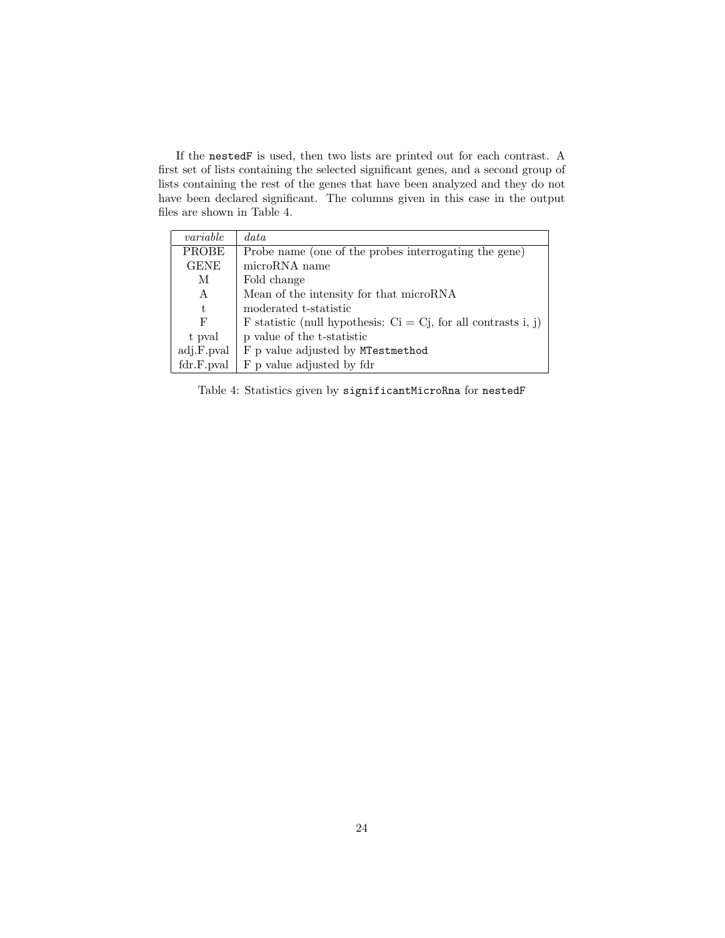If the nestedF is used, then two lists are printed out for each contrast. A first set of lists containing the selected significant genes, and a second group of lists containing the rest of the genes that have been analyzed and they do not have been declared significant. The columns given in this case in the output files are shown in Table 4.

| variable    | data                                                              |
|-------------|-------------------------------------------------------------------|
| PROBE       | Probe name (one of the probes interrogating the gene)             |
| <b>GENE</b> | microRNA name                                                     |
| М           | Fold change                                                       |
| A           | Mean of the intensity for that microRNA                           |
| t.          | moderated t-statistic                                             |
| F           | F statistic (null hypothesis: $Ci = Cj$ , for all contrasts i, j) |
| t pval      | p value of the t-statistic                                        |
| adj.F.pval  | F p value adjusted by MTestmethod                                 |
| fdr.F.pval  | F p value adjusted by fdr                                         |

Table 4: Statistics given by significantMicroRna for nestedF